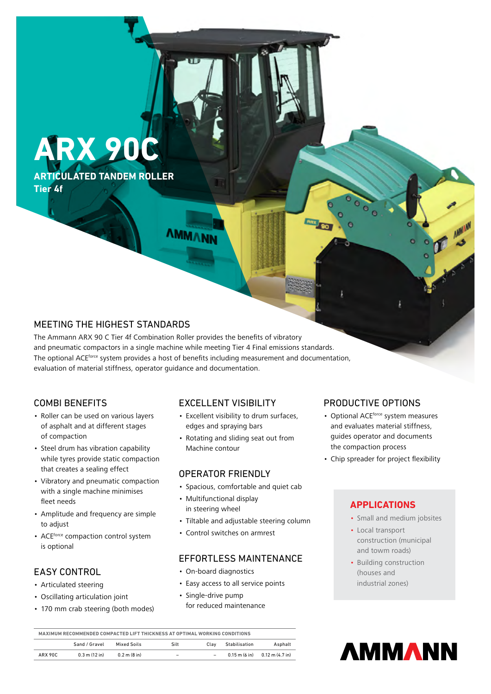# **ARX 90C**

**ARTICULATED TANDEM ROLLER Tier 4f**

# **AMMANN**

# MEETING THE HIGHEST STANDARDS

The Ammann ARX 90 C Tier 4f Combination Roller provides the benefits of vibratory and pneumatic compactors in a single machine while meeting Tier 4 Final emissions standards. The optional ACEforce system provides a host of benefits including measurement and documentation, evaluation of material stiffness, operator guidance and documentation.

# COMBI BENEFITS

- Roller can be used on various layers of asphalt and at different stages of compaction
- Steel drum has vibration capability while tyres provide static compaction that creates a sealing effect
- Vibratory and pneumatic compaction with a single machine minimises fleet needs
- Amplitude and frequency are simple to adjust
- ACEforce compaction control system is optional

# EASY CONTROL

- Articulated steering
- Oscillating articulation joint
- 170 mm crab steering (both modes)

# EXCELLENT VISIBILITY

- Excellent visibility to drum surfaces, edges and spraying bars
- Rotating and sliding seat out from Machine contour

#### OPERATOR FRIENDLY

- Spacious, comfortable and quiet cab
- Multifunctional display in steering wheel
- Tiltable and adjustable steering column
- Control switches on armrest

# EFFORTLESS MAINTENANCE

- On-board diagnostics
- Easy access to all service points
- Single-drive pump for reduced maintenance

# PRODUCTIVE OPTIONS

- Optional ACEforce system measures and evaluates material stiffness, guides operator and documents the compaction process
- Chip spreader for project flexibility

#### **APPLICATIONS**

- Small and medium jobsites
- Local transport construction (municipal and towm roads)
- Building construction (houses and industrial zones)